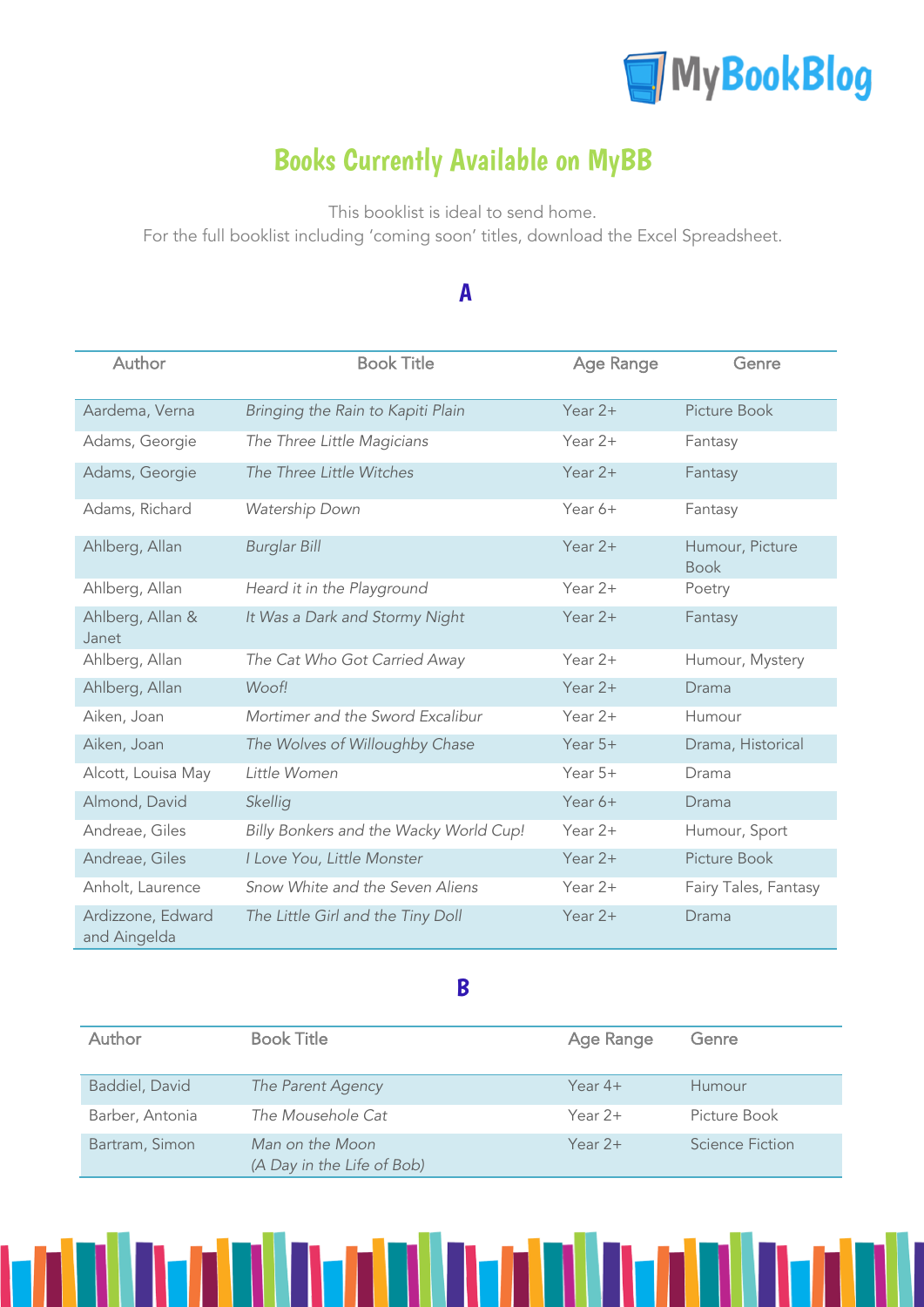

# Books Currently Available on MyBB

This booklist is ideal to send home.

For the full booklist including 'coming soon' titles, download the Excel Spreadsheet.

#### A

| Author                            | <b>Book Title</b>                      | Age Range | Genre                          |
|-----------------------------------|----------------------------------------|-----------|--------------------------------|
| Aardema, Verna                    | Bringing the Rain to Kapiti Plain      | Year $2+$ | Picture Book                   |
| Adams, Georgie                    | The Three Little Magicians             | Year $2+$ | Fantasy                        |
| Adams, Georgie                    | The Three Little Witches               | Year $2+$ | Fantasy                        |
| Adams, Richard                    | Watership Down                         | Year 6+   | Fantasy                        |
| Ahlberg, Allan                    | <b>Burglar Bill</b>                    | Year $2+$ | Humour, Picture<br><b>Book</b> |
| Ahlberg, Allan                    | Heard it in the Playground             | Year $2+$ | Poetry                         |
| Ahlberg, Allan &<br>Janet         | It Was a Dark and Stormy Night         | Year $2+$ | Fantasy                        |
| Ahlberg, Allan                    | The Cat Who Got Carried Away           | Year $2+$ | Humour, Mystery                |
| Ahlberg, Allan                    | Woof!                                  | Year $2+$ | Drama                          |
| Aiken, Joan                       | Mortimer and the Sword Excalibur       | Year $2+$ | Humour                         |
| Aiken, Joan                       | The Wolves of Willoughby Chase         | Year $5+$ | Drama, Historical              |
| Alcott, Louisa May                | Little Women                           | Year $5+$ | Drama                          |
| Almond, David                     | Skellig                                | Year $6+$ | Drama                          |
| Andreae, Giles                    | Billy Bonkers and the Wacky World Cup! | Year $2+$ | Humour, Sport                  |
| Andreae, Giles                    | I Love You, Little Monster             | Year $2+$ | Picture Book                   |
| Anholt, Laurence                  | Snow White and the Seven Aliens        | Year $2+$ | Fairy Tales, Fantasy           |
| Ardizzone, Edward<br>and Aingelda | The Little Girl and the Tiny Doll      | Year $2+$ | Drama                          |

#### B

| Author          | <b>Book Title</b>                             | Age Range | Genre           |
|-----------------|-----------------------------------------------|-----------|-----------------|
| Baddiel, David  | The Parent Agency                             | Year $4+$ | Humour          |
| Barber, Antonia | The Mousehole Cat                             | Year $2+$ | Picture Book    |
| Bartram, Simon  | Man on the Moon<br>(A Day in the Life of Bob) | Year $2+$ | Science Fiction |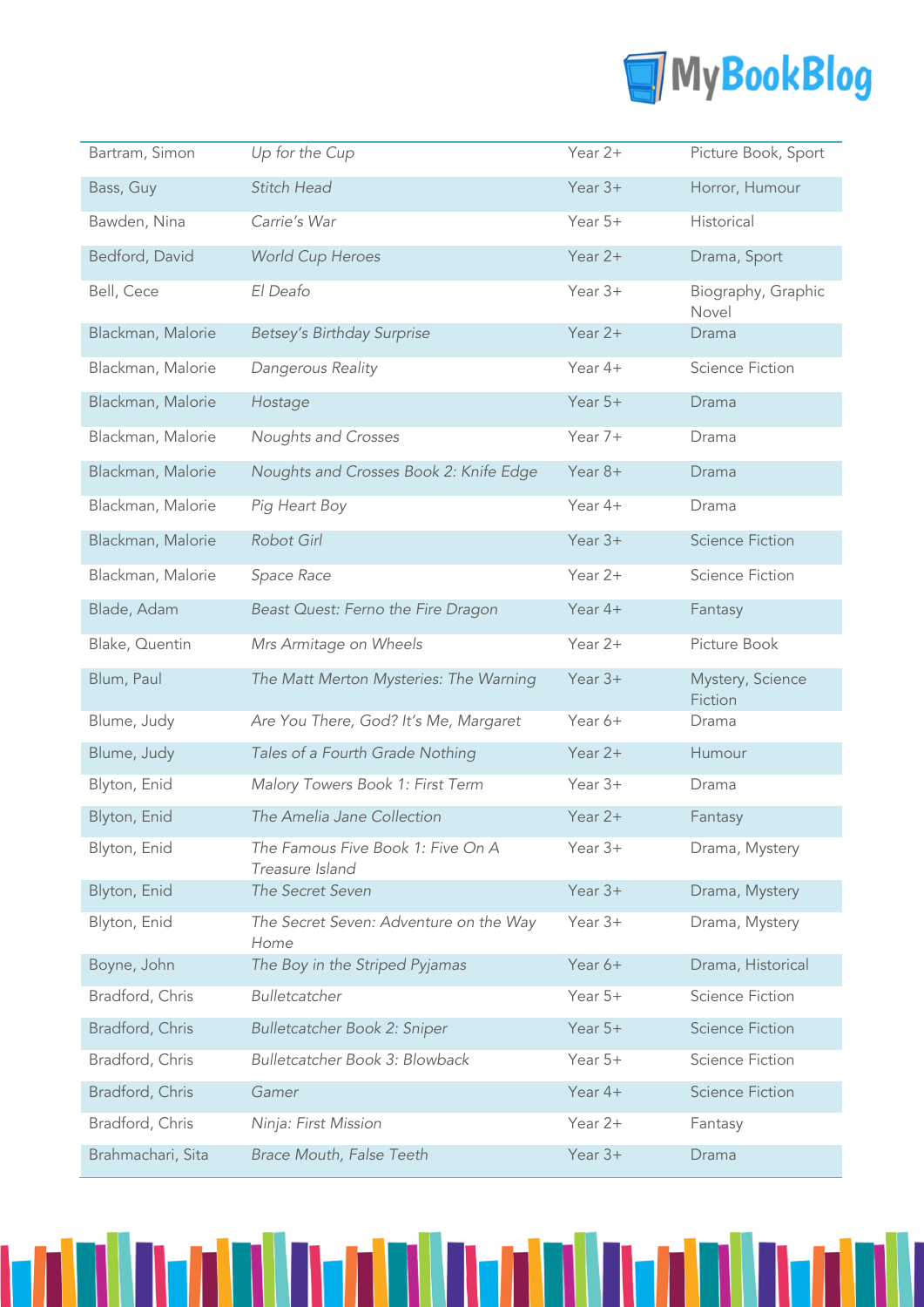

| Bartram, Simon    | Up for the Cup                                       | Year 2+   | Picture Book, Sport         |
|-------------------|------------------------------------------------------|-----------|-----------------------------|
| Bass, Guy         | Stitch Head                                          | Year $3+$ | Horror, Humour              |
| Bawden, Nina      | Carrie's War                                         | Year $5+$ | Historical                  |
| Bedford, David    | <b>World Cup Heroes</b>                              | Year 2+   | Drama, Sport                |
| Bell, Cece        | El Deafo                                             | Year $3+$ | Biography, Graphic<br>Novel |
| Blackman, Malorie | Betsey's Birthday Surprise                           | Year 2+   | Drama                       |
| Blackman, Malorie | Dangerous Reality                                    | Year 4+   | <b>Science Fiction</b>      |
| Blackman, Malorie | Hostage                                              | Year 5+   | Drama                       |
| Blackman, Malorie | Noughts and Crosses                                  | Year 7+   | Drama                       |
| Blackman, Malorie | Noughts and Crosses Book 2: Knife Edge               | Year 8+   | Drama                       |
| Blackman, Malorie | Pig Heart Boy                                        | Year 4+   | Drama                       |
| Blackman, Malorie | Robot Girl                                           | Year $3+$ | <b>Science Fiction</b>      |
| Blackman, Malorie | Space Race                                           | Year 2+   | <b>Science Fiction</b>      |
| Blade, Adam       | Beast Quest: Ferno the Fire Dragon                   | Year 4+   | Fantasy                     |
| Blake, Quentin    | Mrs Armitage on Wheels                               | Year 2+   | Picture Book                |
| Blum, Paul        | The Matt Merton Mysteries: The Warning               | Year $3+$ | Mystery, Science<br>Fiction |
| Blume, Judy       | Are You There, God? It's Me, Margaret                | Year 6+   | Drama                       |
| Blume, Judy       | Tales of a Fourth Grade Nothing                      | Year 2+   | Humour                      |
| Blyton, Enid      | Malory Towers Book 1: First Term                     | Year $3+$ | Drama                       |
| Blyton, Enid      | The Amelia Jane Collection                           | Year 2+   | Fantasy                     |
| Blyton, Enid      | The Famous Five Book 1: Five On A<br>Treasure Island | Year 3+   | Drama, Mystery              |
| Blyton, Enid      | The Secret Seven                                     | Year $3+$ | Drama, Mystery              |
| Blyton, Enid      | The Secret Seven: Adventure on the Way<br>Home       | Year 3+   | Drama, Mystery              |
| Boyne, John       | The Boy in the Striped Pyjamas                       | Year 6+   | Drama, Historical           |
| Bradford, Chris   | Bulletcatcher                                        | Year 5+   | <b>Science Fiction</b>      |
| Bradford, Chris   | Bulletcatcher Book 2: Sniper                         | Year 5+   | <b>Science Fiction</b>      |
| Bradford, Chris   | Bulletcatcher Book 3: Blowback                       | Year 5+   | <b>Science Fiction</b>      |
| Bradford, Chris   | Gamer                                                | Year 4+   | <b>Science Fiction</b>      |
| Bradford, Chris   | Ninja: First Mission                                 | Year 2+   | Fantasy                     |
| Brahmachari, Sita | Brace Mouth, False Teeth                             | Year 3+   | Drama                       |

n India Indi

ı

TITI

M

nI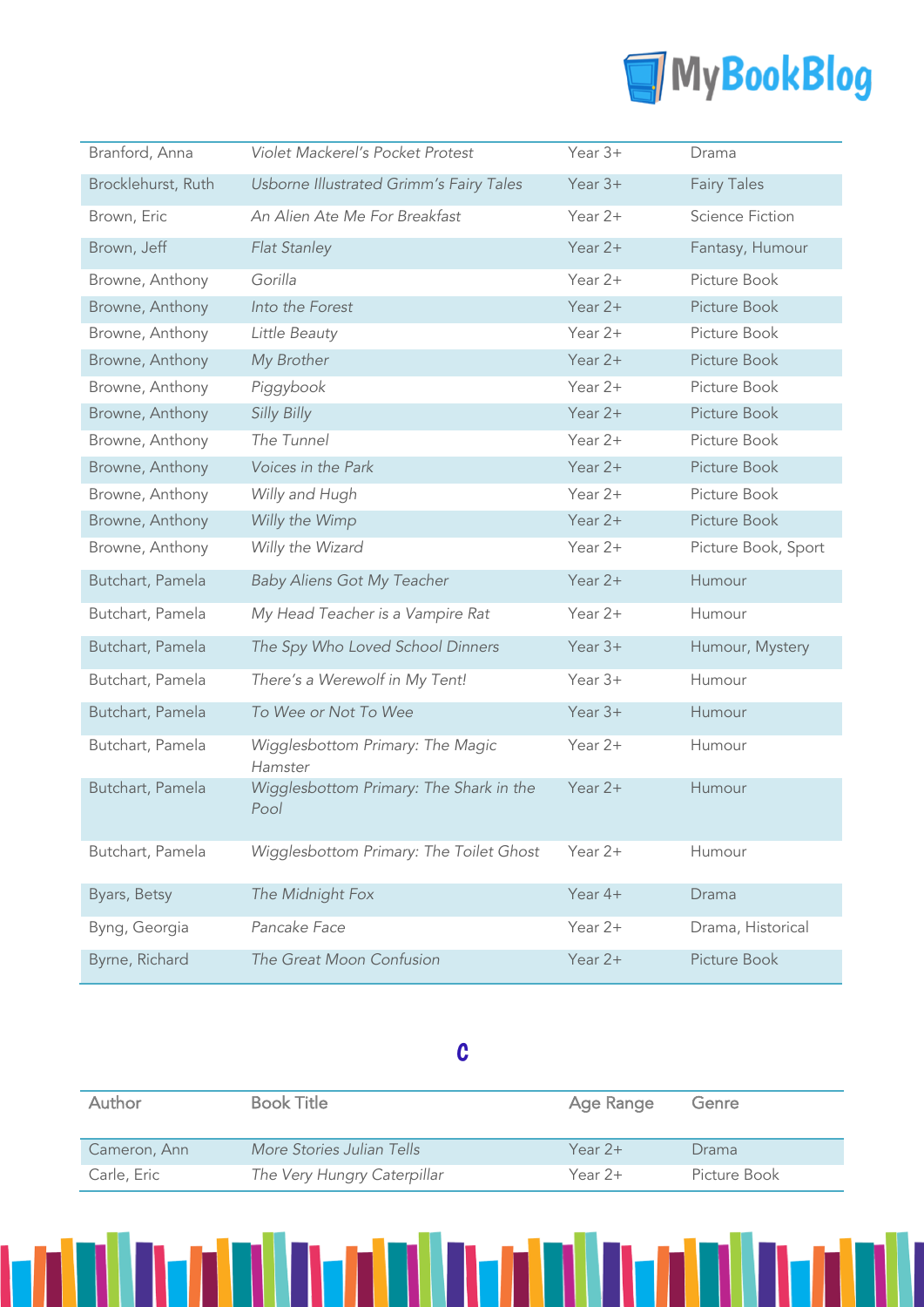

| Branford, Anna     | Violet Mackerel's Pocket Protest                | Year 3+   | Drama                  |
|--------------------|-------------------------------------------------|-----------|------------------------|
| Brocklehurst, Ruth | Usborne Illustrated Grimm's Fairy Tales         | Year $3+$ | <b>Fairy Tales</b>     |
| Brown, Eric        | An Alien Ate Me For Breakfast                   | Year 2+   | <b>Science Fiction</b> |
| Brown, Jeff        | Flat Stanley                                    | Year 2+   | Fantasy, Humour        |
| Browne, Anthony    | Gorilla                                         | Year 2+   | Picture Book           |
| Browne, Anthony    | Into the Forest                                 | Year $2+$ | Picture Book           |
| Browne, Anthony    | Little Beauty                                   | Year $2+$ | Picture Book           |
| Browne, Anthony    | My Brother                                      | Year 2+   | Picture Book           |
| Browne, Anthony    | Piggybook                                       | Year 2+   | Picture Book           |
| Browne, Anthony    | Silly Billy                                     | Year $2+$ | Picture Book           |
| Browne, Anthony    | The Tunnel                                      | Year $2+$ | Picture Book           |
| Browne, Anthony    | Voices in the Park                              | Year 2+   | Picture Book           |
| Browne, Anthony    | Willy and Hugh                                  | Year 2+   | Picture Book           |
| Browne, Anthony    | Willy the Wimp                                  | Year 2+   | Picture Book           |
| Browne, Anthony    | Willy the Wizard                                | Year 2+   | Picture Book, Sport    |
| Butchart, Pamela   | <b>Baby Aliens Got My Teacher</b>               | Year 2+   | Humour                 |
| Butchart, Pamela   | My Head Teacher is a Vampire Rat                | Year 2+   | Humour                 |
| Butchart, Pamela   | The Spy Who Loved School Dinners                | Year 3+   | Humour, Mystery        |
| Butchart, Pamela   | There's a Werewolf in My Tent!                  | Year $3+$ | Humour                 |
| Butchart, Pamela   | To Wee or Not To Wee                            | Year $3+$ | Humour                 |
| Butchart, Pamela   | Wigglesbottom Primary: The Magic<br>Hamster     | Year 2+   | Humour                 |
| Butchart, Pamela   | Wigglesbottom Primary: The Shark in the<br>Pool | Year $2+$ | Humour                 |
| Butchart, Pamela   | Wigglesbottom Primary: The Toilet Ghost         | Year 2+   | Humour                 |
| Byars, Betsy       | The Midnight Fox                                | Year 4+   | Drama                  |
| Byng, Georgia      | Pancake Face                                    | Year 2+   | Drama, Historical      |
| Byrne, Richard     | The Great Moon Confusion                        | Year 2+   | Picture Book           |

## C

| Author       | <b>Book Title</b>           | Age Range | Genre        |
|--------------|-----------------------------|-----------|--------------|
| Cameron, Ann | More Stories Julian Tells   | Year $2+$ | Drama        |
| Carle, Eric  | The Very Hungry Caterpillar | Year $2+$ | Picture Book |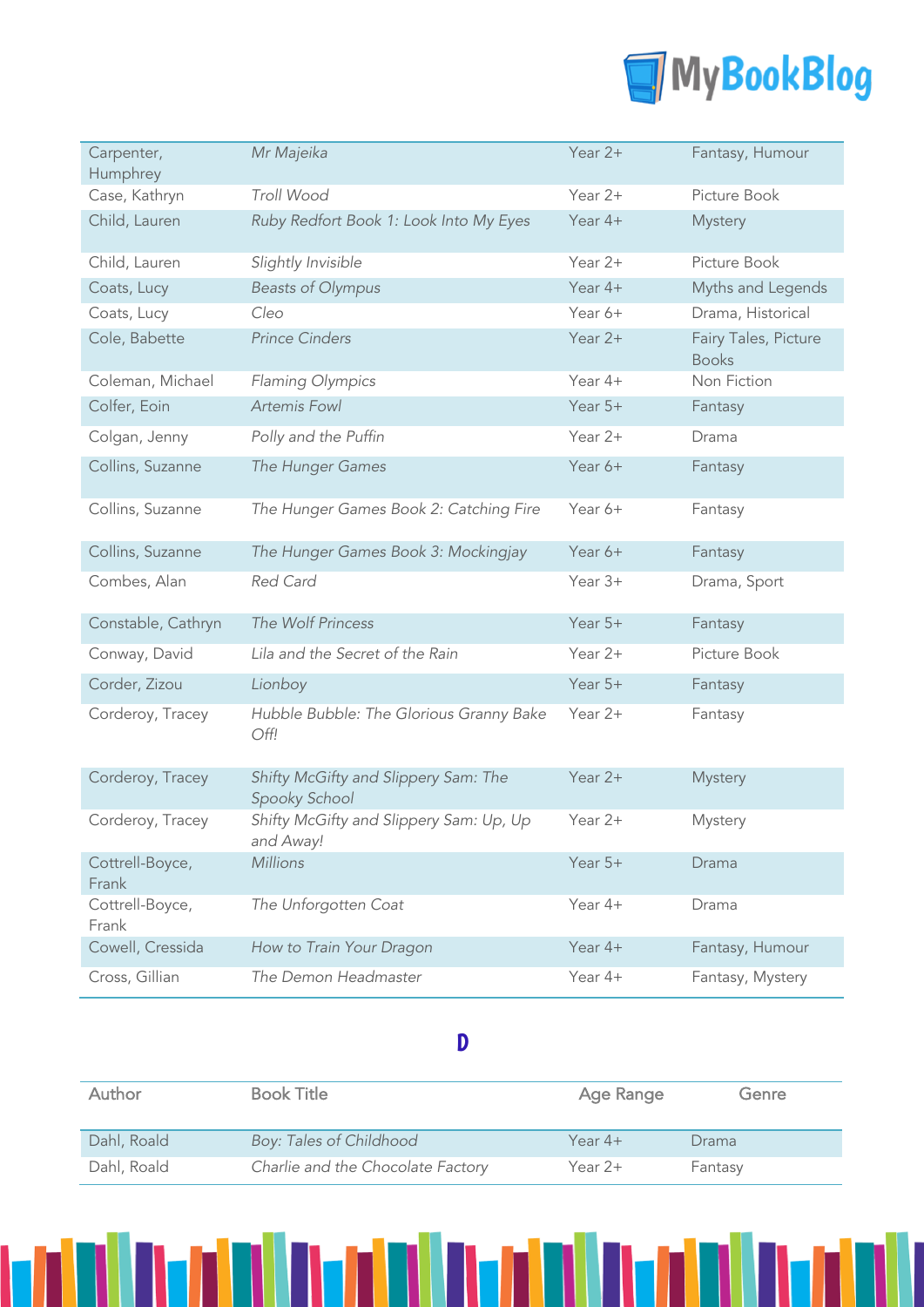

| Carpenter,<br>Humphrey   | Mr Majeika                                            | Year 2+   | Fantasy, Humour                      |
|--------------------------|-------------------------------------------------------|-----------|--------------------------------------|
| Case, Kathryn            | Troll Wood                                            | Year $2+$ | Picture Book                         |
| Child, Lauren            | Ruby Redfort Book 1: Look Into My Eyes                | Year 4+   | Mystery                              |
| Child, Lauren            | Slightly Invisible                                    | Year 2+   | Picture Book                         |
| Coats, Lucy              | <b>Beasts of Olympus</b>                              | Year $4+$ | Myths and Legends                    |
| Coats, Lucy              | Cleo                                                  | Year 6+   | Drama, Historical                    |
| Cole, Babette            | <b>Prince Cinders</b>                                 | Year 2+   | Fairy Tales, Picture<br><b>Books</b> |
| Coleman, Michael         | Flaming Olympics                                      | Year 4+   | Non Fiction                          |
| Colfer, Eoin             | <b>Artemis Fowl</b>                                   | Year 5+   | Fantasy                              |
| Colgan, Jenny            | Polly and the Puffin                                  | Year $2+$ | Drama                                |
| Collins, Suzanne         | The Hunger Games                                      | Year 6+   | Fantasy                              |
| Collins, Suzanne         | The Hunger Games Book 2: Catching Fire                | Year 6+   | Fantasy                              |
| Collins, Suzanne         | The Hunger Games Book 3: Mockingjay                   | Year 6+   | Fantasy                              |
| Combes, Alan             | Red Card                                              | Year 3+   | Drama, Sport                         |
| Constable, Cathryn       | The Wolf Princess                                     | Year $5+$ | Fantasy                              |
| Conway, David            | Lila and the Secret of the Rain                       | Year $2+$ | Picture Book                         |
| Corder, Zizou            | Lionboy                                               | Year $5+$ | Fantasy                              |
| Corderoy, Tracey         | Hubble Bubble: The Glorious Granny Bake<br>Off!       | Year 2+   | Fantasy                              |
| Corderoy, Tracey         | Shifty McGifty and Slippery Sam: The<br>Spooky School | Year $2+$ | <b>Mystery</b>                       |
| Corderoy, Tracey         | Shifty McGifty and Slippery Sam: Up, Up<br>and Away!  | Year 2+   | Mystery                              |
| Cottrell-Boyce,<br>Frank | <b>Millions</b>                                       | Year 5+   | Drama                                |
| Cottrell-Boyce,<br>Frank | The Unforgotten Coat                                  | Year 4+   | Drama                                |
| Cowell, Cressida         | How to Train Your Dragon                              | Year 4+   | Fantasy, Humour                      |
| Cross, Gillian           | The Demon Headmaster                                  | Year 4+   | Fantasy, Mystery                     |

#### D

| <b>Author</b> | <b>Book Title</b>                 | Age Range | Genre   |
|---------------|-----------------------------------|-----------|---------|
| Dahl, Roald   | Boy: Tales of Childhood           | Year $4+$ | Drama   |
| Dahl, Roald   | Charlie and the Chocolate Factory | Year $2+$ | Fantasy |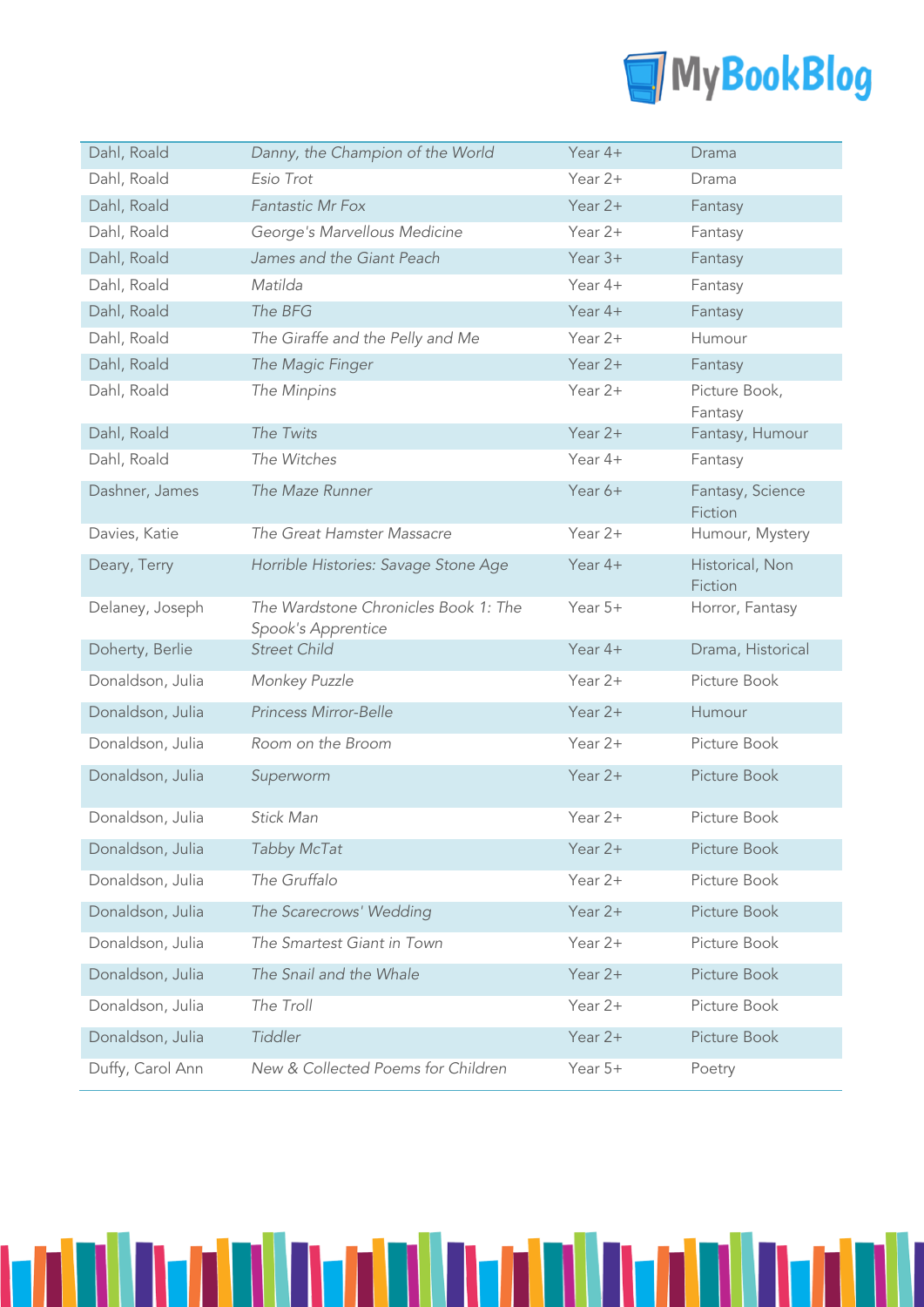

| Dahl, Roald      | Danny, the Champion of the World                           | Year $4+$ | Drama                       |
|------------------|------------------------------------------------------------|-----------|-----------------------------|
| Dahl, Roald      | Esio Trot                                                  | Year $2+$ | Drama                       |
| Dahl, Roald      | <b>Fantastic Mr Fox</b>                                    | Year $2+$ | Fantasy                     |
| Dahl, Roald      | George's Marvellous Medicine                               | Year 2+   | Fantasy                     |
| Dahl, Roald      | James and the Giant Peach                                  | Year $3+$ | Fantasy                     |
| Dahl, Roald      | Matilda                                                    | Year $4+$ | Fantasy                     |
| Dahl, Roald      | The BFG                                                    | Year $4+$ | Fantasy                     |
| Dahl, Roald      | The Giraffe and the Pelly and Me                           | Year $2+$ | Humour                      |
| Dahl, Roald      | The Magic Finger                                           | Year $2+$ | Fantasy                     |
| Dahl, Roald      | The Minpins                                                | Year 2+   | Picture Book,<br>Fantasy    |
| Dahl, Roald      | The Twits                                                  | Year $2+$ | Fantasy, Humour             |
| Dahl, Roald      | The Witches                                                | Year 4+   | Fantasy                     |
| Dashner, James   | The Maze Runner                                            | Year 6+   | Fantasy, Science<br>Fiction |
| Davies, Katie    | The Great Hamster Massacre                                 | Year 2+   | Humour, Mystery             |
| Deary, Terry     | Horrible Histories: Savage Stone Age                       | Year 4+   | Historical, Non<br>Fiction  |
| Delaney, Joseph  | The Wardstone Chronicles Book 1: The<br>Spook's Apprentice | Year $5+$ | Horror, Fantasy             |
| Doherty, Berlie  | <b>Street Child</b>                                        | Year $4+$ | Drama, Historical           |
| Donaldson, Julia | Monkey Puzzle                                              | Year 2+   | Picture Book                |
| Donaldson, Julia | Princess Mirror-Belle                                      | Year 2+   | Humour                      |
| Donaldson, Julia | Room on the Broom                                          | Year $2+$ | Picture Book                |
| Donaldson, Julia | Superworm                                                  | Year $2+$ | Picture Book                |
| Donaldson, Julia | <b>Stick Man</b>                                           | Year 2+   | Picture Book                |
| Donaldson, Julia | Tabby McTat                                                | Year 2+   | Picture Book                |
| Donaldson, Julia | The Gruffalo                                               | Year 2+   | Picture Book                |
| Donaldson, Julia | The Scarecrows' Wedding                                    | Year 2+   | Picture Book                |
| Donaldson, Julia | The Smartest Giant in Town                                 | Year 2+   | Picture Book                |
| Donaldson, Julia | The Snail and the Whale                                    | Year 2+   | Picture Book                |
| Donaldson, Julia | The Troll                                                  | Year 2+   | Picture Book                |
| Donaldson, Julia | Tiddler                                                    | Year 2+   | Picture Book                |
| Duffy, Carol Ann | New & Collected Poems for Children                         | Year 5+   | Poetry                      |

n Ivala Iva

TITI

П

H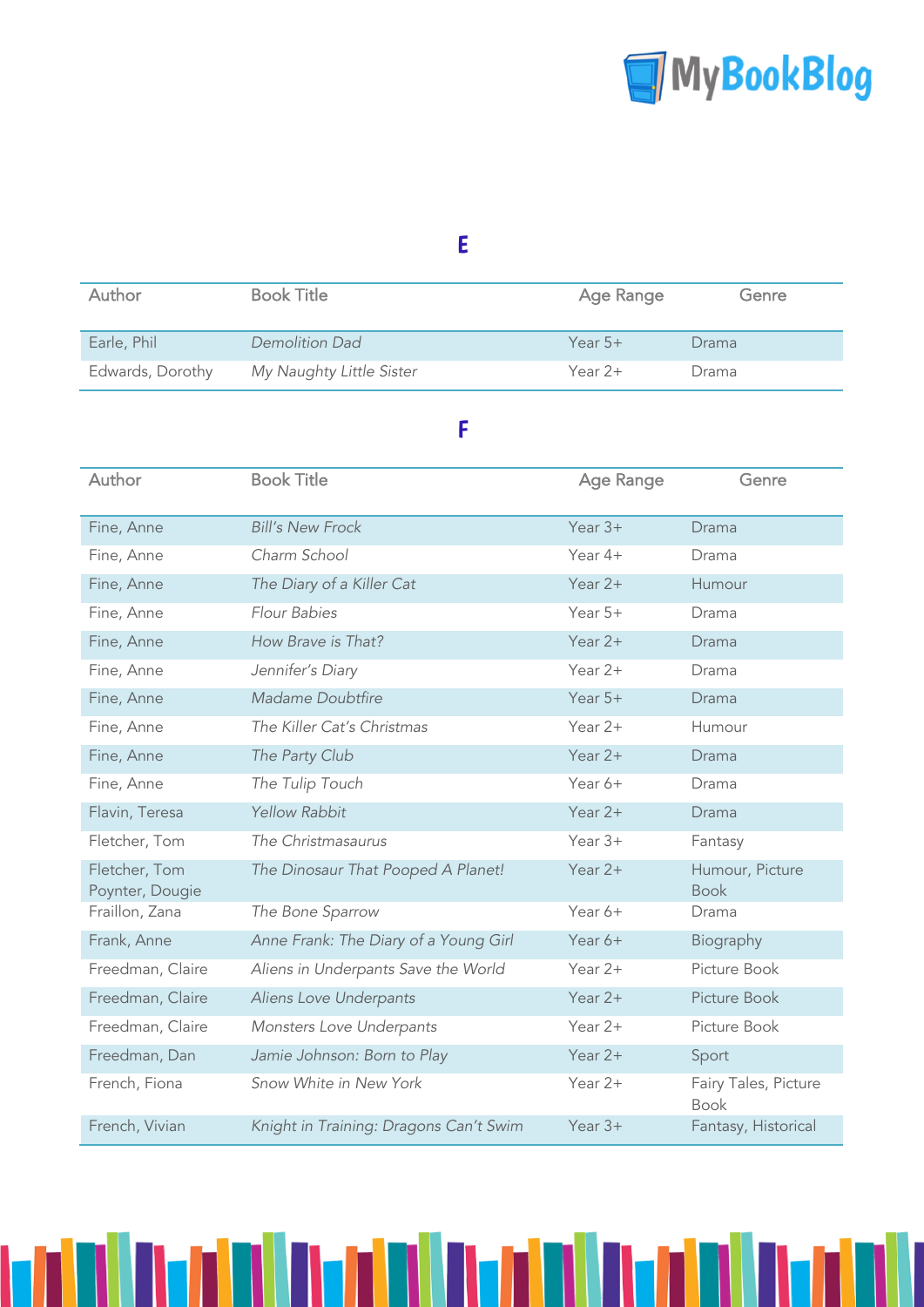

### E

| Author           | <b>Book Title</b>        | Age Range | Genre |
|------------------|--------------------------|-----------|-------|
| Earle, Phil      | Demolition Dad           | Year $5+$ | Drama |
| Edwards, Dorothy | My Naughty Little Sister | Year $2+$ | Drama |

### F

| Author                           | <b>Book Title</b>                      | <b>Age Range</b> | Genre                               |
|----------------------------------|----------------------------------------|------------------|-------------------------------------|
| Fine, Anne                       | <b>Bill's New Frock</b>                | Year $3+$        | Drama                               |
| Fine, Anne                       | Charm School                           | Year 4+          | Drama                               |
| Fine, Anne                       | The Diary of a Killer Cat              | Year 2+          | Humour                              |
| Fine, Anne                       | Flour Babies                           | Year 5+          | Drama                               |
| Fine, Anne                       | How Brave is That?                     | Year $2+$        | Drama                               |
| Fine, Anne                       | Jennifer's Diary                       | Year 2+          | Drama                               |
| Fine, Anne                       | Madame Doubtfire                       | Year $5+$        | Drama                               |
| Fine, Anne                       | The Killer Cat's Christmas             | Year 2+          | Humour                              |
| Fine, Anne                       | The Party Club                         | Year 2+          | Drama                               |
| Fine, Anne                       | The Tulip Touch                        | Year 6+          | Drama                               |
| Flavin, Teresa                   | <b>Yellow Rabbit</b>                   | Year $2+$        | Drama                               |
| Fletcher, Tom                    | The Christmasaurus                     | Year $3+$        | Fantasy                             |
| Fletcher, Tom<br>Poynter, Dougie | The Dinosaur That Pooped A Planet!     | Year $2+$        | Humour, Picture<br><b>Book</b>      |
| Fraillon, Zana                   | The Bone Sparrow                       | Year 6+          | Drama                               |
| Frank, Anne                      | Anne Frank: The Diary of a Young Girl  | Year 6+          | Biography                           |
| Freedman, Claire                 | Aliens in Underpants Save the World    | Year 2+          | Picture Book                        |
| Freedman, Claire                 | Aliens Love Underpants                 | Year $2+$        | Picture Book                        |
| Freedman, Claire                 | Monsters Love Underpants               | Year 2+          | Picture Book                        |
| Freedman, Dan                    | Jamie Johnson: Born to Play            | Year $2+$        | Sport                               |
| French, Fiona                    | Snow White in New York                 | Year 2+          | Fairy Tales, Picture<br><b>Book</b> |
| French, Vivian                   | Knight in Training: Dragons Can't Swim | Year $3+$        | Fantasy, Historical                 |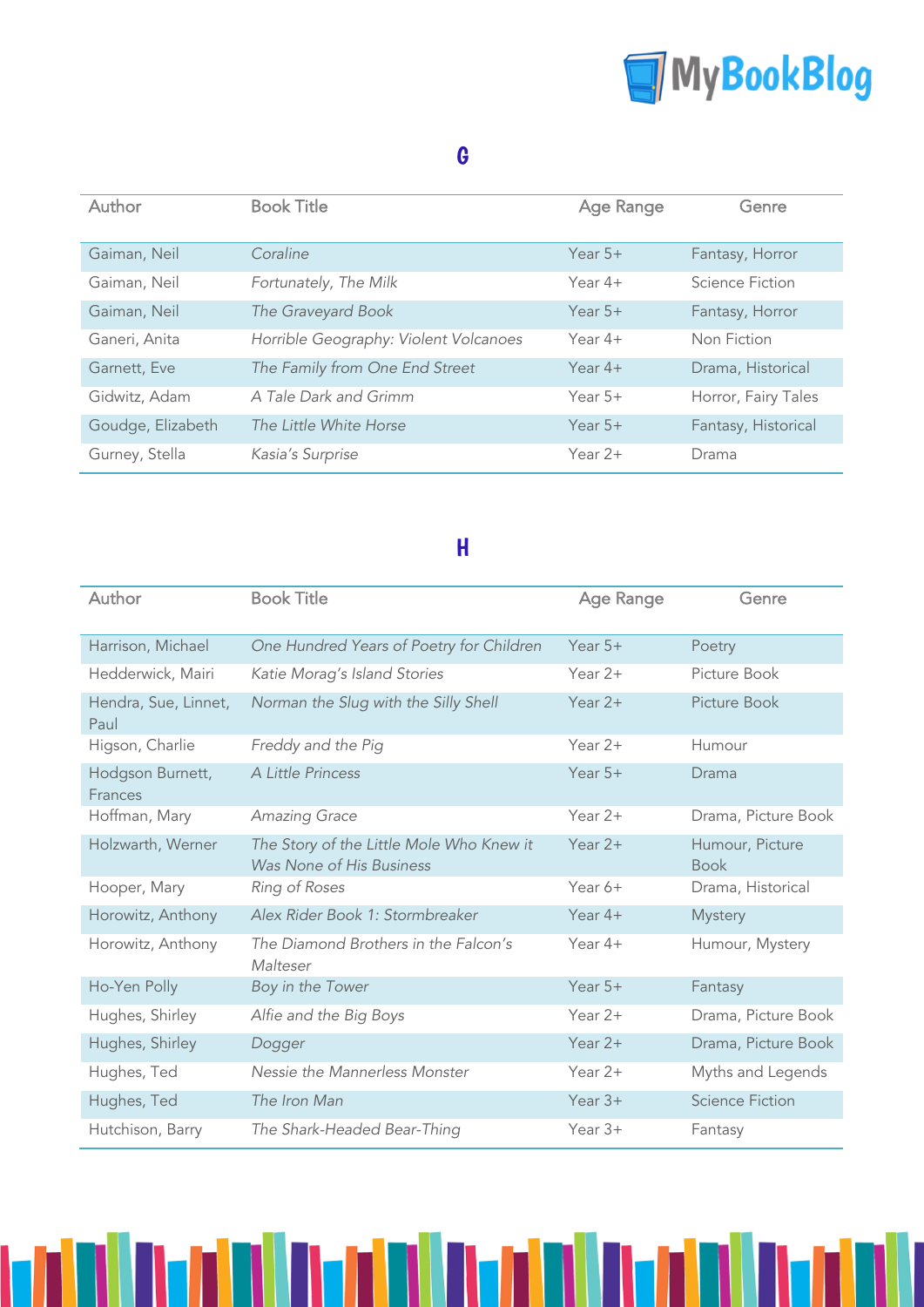

## G

| Author            | <b>Book Title</b>                     | <b>Age Range</b> | Genre               |
|-------------------|---------------------------------------|------------------|---------------------|
| Gaiman, Neil      | Coraline                              | Year $5+$        | Fantasy, Horror     |
| Gaiman, Neil      | Fortunately, The Milk                 | Year $4+$        | Science Fiction     |
| Gaiman, Neil      | The Graveyard Book                    | Year $5+$        | Fantasy, Horror     |
| Ganeri, Anita     | Horrible Geography: Violent Volcanoes | Year $4+$        | Non Fiction         |
| Garnett, Eve      | The Family from One End Street        | Year $4+$        | Drama, Historical   |
| Gidwitz, Adam     | A Tale Dark and Grimm                 | Year $5+$        | Horror, Fairy Tales |
| Goudge, Elizabeth | The Little White Horse                | Year $5+$        | Fantasy, Historical |
| Gurney, Stella    | Kasia's Surprise                      | Year $2+$        | Drama               |

## H

| Author                       | <b>Book Title</b>                                                    | <b>Age Range</b> | Genre                          |
|------------------------------|----------------------------------------------------------------------|------------------|--------------------------------|
| Harrison, Michael            | One Hundred Years of Poetry for Children                             | Year $5+$        | Poetry                         |
| Hedderwick, Mairi            | Katie Morag's Island Stories                                         | Year $2+$        | Picture Book                   |
| Hendra, Sue, Linnet,<br>Paul | Norman the Slug with the Silly Shell                                 | Year $2+$        | Picture Book                   |
| Higson, Charlie              | Freddy and the Pig                                                   | Year $2+$        | Humour                         |
| Hodgson Burnett,<br>Frances  | A Little Princess                                                    | Year $5+$        | Drama                          |
| Hoffman, Mary                | Amazing Grace                                                        | Year $2+$        | Drama, Picture Book            |
| Holzwarth, Werner            | The Story of the Little Mole Who Knew it<br>Was None of His Business | Year $2+$        | Humour, Picture<br><b>Book</b> |
| Hooper, Mary                 | Ring of Roses                                                        | Year 6+          | Drama, Historical              |
| Horowitz, Anthony            | Alex Rider Book 1: Stormbreaker                                      | Year $4+$        | <b>Mystery</b>                 |
| Horowitz, Anthony            | The Diamond Brothers in the Falcon's<br>Malteser                     | Year $4+$        | Humour, Mystery                |
| Ho-Yen Polly                 | Boy in the Tower                                                     | Year $5+$        | Fantasy                        |
| Hughes, Shirley              | Alfie and the Big Boys                                               | Year $2+$        | Drama, Picture Book            |
| Hughes, Shirley              | Dogger                                                               | Year $2+$        | Drama, Picture Book            |
| Hughes, Ted                  | Nessie the Mannerless Monster                                        | Year $2+$        | Myths and Legends              |
| Hughes, Ted                  | The Iron Man                                                         | Year $3+$        | <b>Science Fiction</b>         |
| Hutchison, Barry             | The Shark-Headed Bear-Thing                                          | Year $3+$        | Fantasy                        |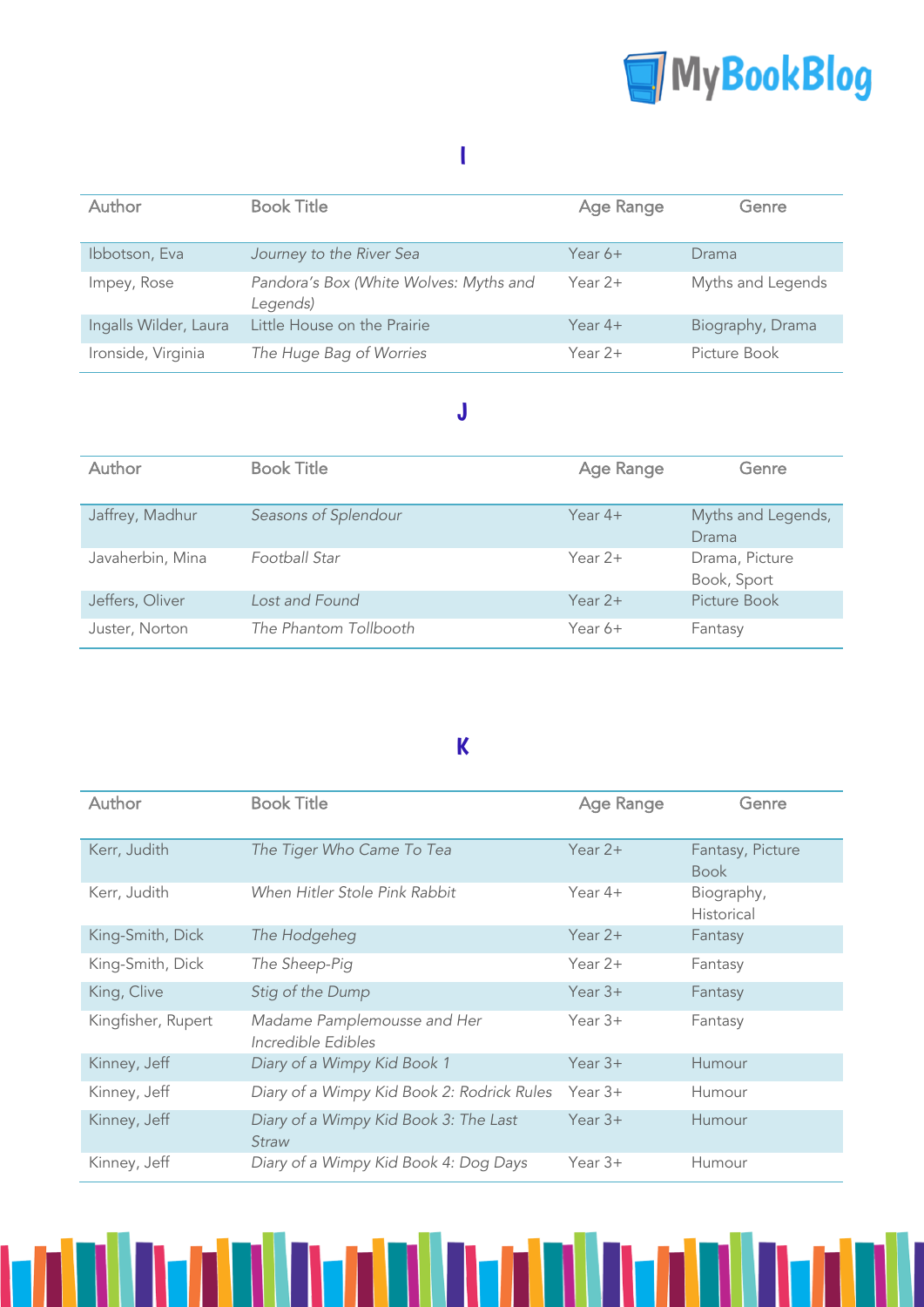

### I

| <b>Author</b>         | <b>Book Title</b>                                  | <b>Age Range</b> | Genre             |
|-----------------------|----------------------------------------------------|------------------|-------------------|
| Ibbotson, Eva         | Journey to the River Sea                           | Year $6+$        | Drama             |
| Impey, Rose           | Pandora's Box (White Wolves: Myths and<br>Legends) | Year $2+$        | Myths and Legends |
| Ingalls Wilder, Laura | Little House on the Prairie                        | Year $4+$        | Biography, Drama  |
| Ironside, Virginia    | The Huge Bag of Worries                            | Year $2+$        | Picture Book      |

### J

| Author           | <b>Book Title</b>     | <b>Age Range</b> | Genre                         |
|------------------|-----------------------|------------------|-------------------------------|
| Jaffrey, Madhur  | Seasons of Splendour  | Year $4+$        | Myths and Legends,<br>Drama   |
| Javaherbin, Mina | Football Star         | Year $2+$        | Drama, Picture<br>Book, Sport |
| Jeffers, Oliver  | Lost and Found        | Year $2+$        | Picture Book                  |
| Juster, Norton   | The Phantom Tollbooth | Year $6+$        | Fantasy                       |

## K

| Author             | <b>Book Title</b>                                 | Age Range | Genre                           |
|--------------------|---------------------------------------------------|-----------|---------------------------------|
| Kerr, Judith       | The Tiger Who Came To Tea                         | Year $2+$ | Fantasy, Picture<br><b>Book</b> |
| Kerr, Judith       | When Hitler Stole Pink Rabbit                     | Year $4+$ | Biography,<br>Historical        |
| King-Smith, Dick   | The Hodgeheg                                      | Year $2+$ | Fantasy                         |
| King-Smith, Dick   | The Sheep-Pig                                     | Year $2+$ | Fantasy                         |
| King, Clive        | Stig of the Dump                                  | Year $3+$ | Fantasy                         |
| Kingfisher, Rupert | Madame Pamplemousse and Her<br>Incredible Edibles | Year $3+$ | Fantasy                         |
| Kinney, Jeff       | Diary of a Wimpy Kid Book 1                       | Year $3+$ | Humour                          |
| Kinney, Jeff       | Diary of a Wimpy Kid Book 2: Rodrick Rules        | Year $3+$ | Humour                          |
| Kinney, Jeff       | Diary of a Wimpy Kid Book 3: The Last<br>Straw    | Year $3+$ | Humour                          |
| Kinney, Jeff       | Diary of a Wimpy Kid Book 4: Dog Days             | Year $3+$ | Humour                          |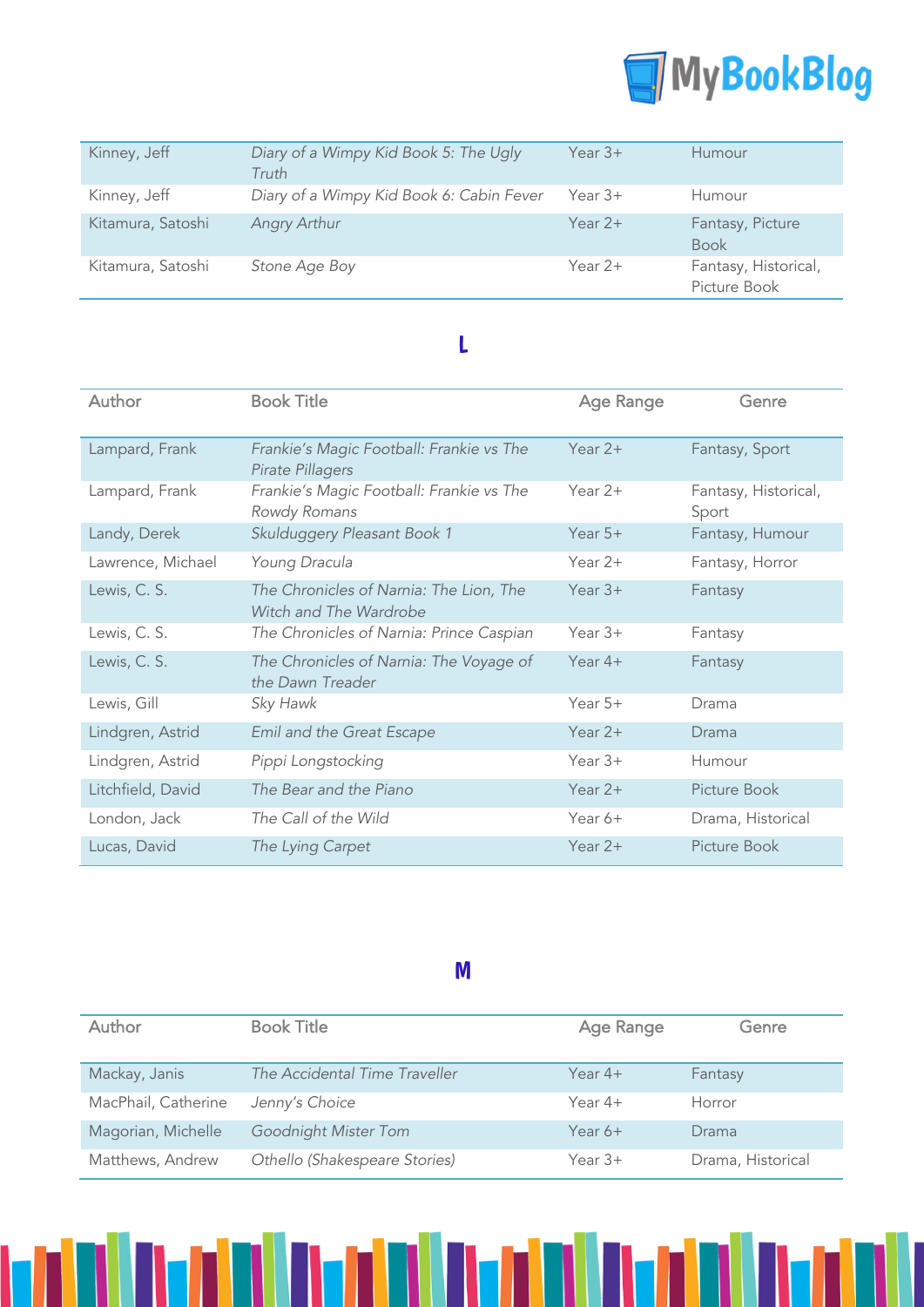

| Kinney, Jeff      | Diary of a Wimpy Kid Book 5: The Ugly<br>Truth | Year $3+$ | <b>Humour</b>                        |
|-------------------|------------------------------------------------|-----------|--------------------------------------|
| Kinney, Jeff      | Diary of a Wimpy Kid Book 6: Cabin Fever       | Year $3+$ | Humour                               |
| Kitamura, Satoshi | Angry Arthur                                   | Year $2+$ | Fantasy, Picture<br><b>Book</b>      |
| Kitamura, Satoshi | Stone Age Boy                                  | Year $2+$ | Fantasy, Historical,<br>Picture Book |

### L

| Author            | <b>Book Title</b>                                                 | Age Range | Genre                         |
|-------------------|-------------------------------------------------------------------|-----------|-------------------------------|
| Lampard, Frank    | Frankie's Magic Football: Frankie vs The<br>Pirate Pillagers      | Year $2+$ | Fantasy, Sport                |
| Lampard, Frank    | Frankie's Magic Football: Frankie vs The<br>Rowdy Romans          | Year $2+$ | Fantasy, Historical,<br>Sport |
| Landy, Derek      | Skulduggery Pleasant Book 1                                       | Year $5+$ | Fantasy, Humour               |
| Lawrence, Michael | Young Dracula                                                     | Year $2+$ | Fantasy, Horror               |
| Lewis, C. S.      | The Chronicles of Narnia: The Lion, The<br>Witch and The Wardrobe | Year $3+$ | Fantasy                       |
| Lewis, C. S.      | The Chronicles of Narnia: Prince Caspian                          | Year $3+$ | Fantasy                       |
| Lewis, C. S.      | The Chronicles of Narnia: The Voyage of<br>the Dawn Treader       | Year $4+$ | Fantasy                       |
| Lewis, Gill       | Sky Hawk                                                          | Year $5+$ | Drama                         |
| Lindgren, Astrid  | Emil and the Great Escape                                         | Year $2+$ | Drama                         |
| Lindgren, Astrid  | Pippi Longstocking                                                | Year $3+$ | Humour                        |
| Litchfield, David | The Bear and the Piano                                            | Year $2+$ | Picture Book                  |
| London, Jack      | The Call of the Wild                                              | Year 6+   | Drama, Historical             |
| Lucas, David      | The Lying Carpet                                                  | Year $2+$ | Picture Book                  |

M

| Author              | <b>Book Title</b>             | Age Range | Genre             |
|---------------------|-------------------------------|-----------|-------------------|
|                     |                               |           |                   |
| Mackay, Janis       | The Accidental Time Traveller | Year $4+$ | Fantasy           |
| MacPhail, Catherine | Jenny's Choice                | Year $4+$ | Horror            |
| Magorian, Michelle  | Goodnight Mister Tom          | Year $6+$ | Drama             |
| Matthews, Andrew    | Othello (Shakespeare Stories) | Year $3+$ | Drama, Historical |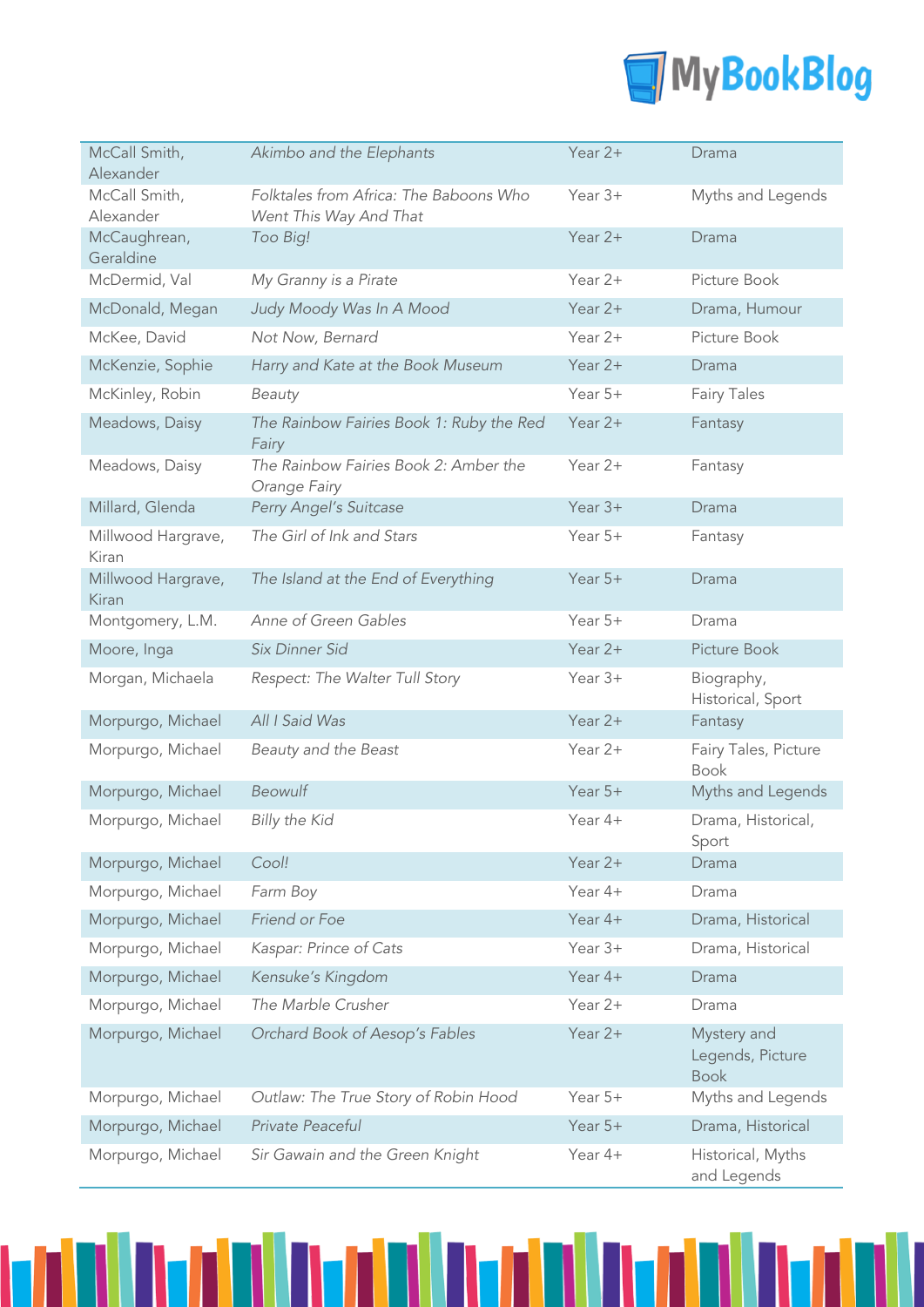

| McCall Smith,<br>Alexander  | Akimbo and the Elephants                                         | Year $2+$ | Drama                                          |
|-----------------------------|------------------------------------------------------------------|-----------|------------------------------------------------|
| McCall Smith,<br>Alexander  | Folktales from Africa: The Baboons Who<br>Went This Way And That | Year $3+$ | Myths and Legends                              |
| McCaughrean,<br>Geraldine   | Too Big!                                                         | Year $2+$ | Drama                                          |
| McDermid, Val               | My Granny is a Pirate                                            | Year 2+   | Picture Book                                   |
| McDonald, Megan             | Judy Moody Was In A Mood                                         | Year 2+   | Drama, Humour                                  |
| McKee, David                | Not Now, Bernard                                                 | Year 2+   | Picture Book                                   |
| McKenzie, Sophie            | Harry and Kate at the Book Museum                                | Year $2+$ | Drama                                          |
| McKinley, Robin             | Beauty                                                           | Year $5+$ | <b>Fairy Tales</b>                             |
| Meadows, Daisy              | The Rainbow Fairies Book 1: Ruby the Red<br>Fairy                | Year $2+$ | Fantasy                                        |
| Meadows, Daisy              | The Rainbow Fairies Book 2: Amber the<br>Orange Fairy            | Year $2+$ | Fantasy                                        |
| Millard, Glenda             | Perry Angel's Suitcase                                           | Year $3+$ | Drama                                          |
| Millwood Hargrave,<br>Kiran | The Girl of Ink and Stars                                        | Year 5+   | Fantasy                                        |
| Millwood Hargrave,<br>Kiran | The Island at the End of Everything                              | Year $5+$ | Drama                                          |
| Montgomery, L.M.            | Anne of Green Gables                                             | Year 5+   | Drama                                          |
| Moore, Inga                 | Six Dinner Sid                                                   | Year $2+$ | Picture Book                                   |
| Morgan, Michaela            | Respect: The Walter Tull Story                                   | Year 3+   | Biography,<br>Historical, Sport                |
| Morpurgo, Michael           | All I Said Was                                                   | Year $2+$ | Fantasy                                        |
| Morpurgo, Michael           | Beauty and the Beast                                             | Year $2+$ | Fairy Tales, Picture<br><b>Book</b>            |
| Morpurgo, Michael           | Beowulf                                                          | Year $5+$ | Myths and Legends                              |
| Morpurgo, Michael           | <b>Billy the Kid</b>                                             | Year 4+   | Drama, Historical,<br>Sport                    |
| Morpurgo, Michael           | Cool!                                                            | Year 2+   | Drama                                          |
| Morpurgo, Michael           | Farm Boy                                                         | Year 4+   | Drama                                          |
| Morpurgo, Michael           | Friend or Foe                                                    | Year 4+   | Drama, Historical                              |
| Morpurgo, Michael           | Kaspar: Prince of Cats                                           | Year $3+$ | Drama, Historical                              |
| Morpurgo, Michael           | Kensuke's Kingdom                                                | Year $4+$ | Drama                                          |
| Morpurgo, Michael           | The Marble Crusher                                               | Year 2+   | Drama                                          |
| Morpurgo, Michael           | Orchard Book of Aesop's Fables                                   | Year $2+$ | Mystery and<br>Legends, Picture<br><b>Book</b> |
| Morpurgo, Michael           | Outlaw: The True Story of Robin Hood                             | Year 5+   | Myths and Legends                              |
| Morpurgo, Michael           | Private Peaceful                                                 | Year $5+$ | Drama, Historical                              |
| Morpurgo, Michael           | Sir Gawain and the Green Knight                                  | Year 4+   | Historical, Myths<br>and Legends               |

n Ivala Iva

N

TITI

h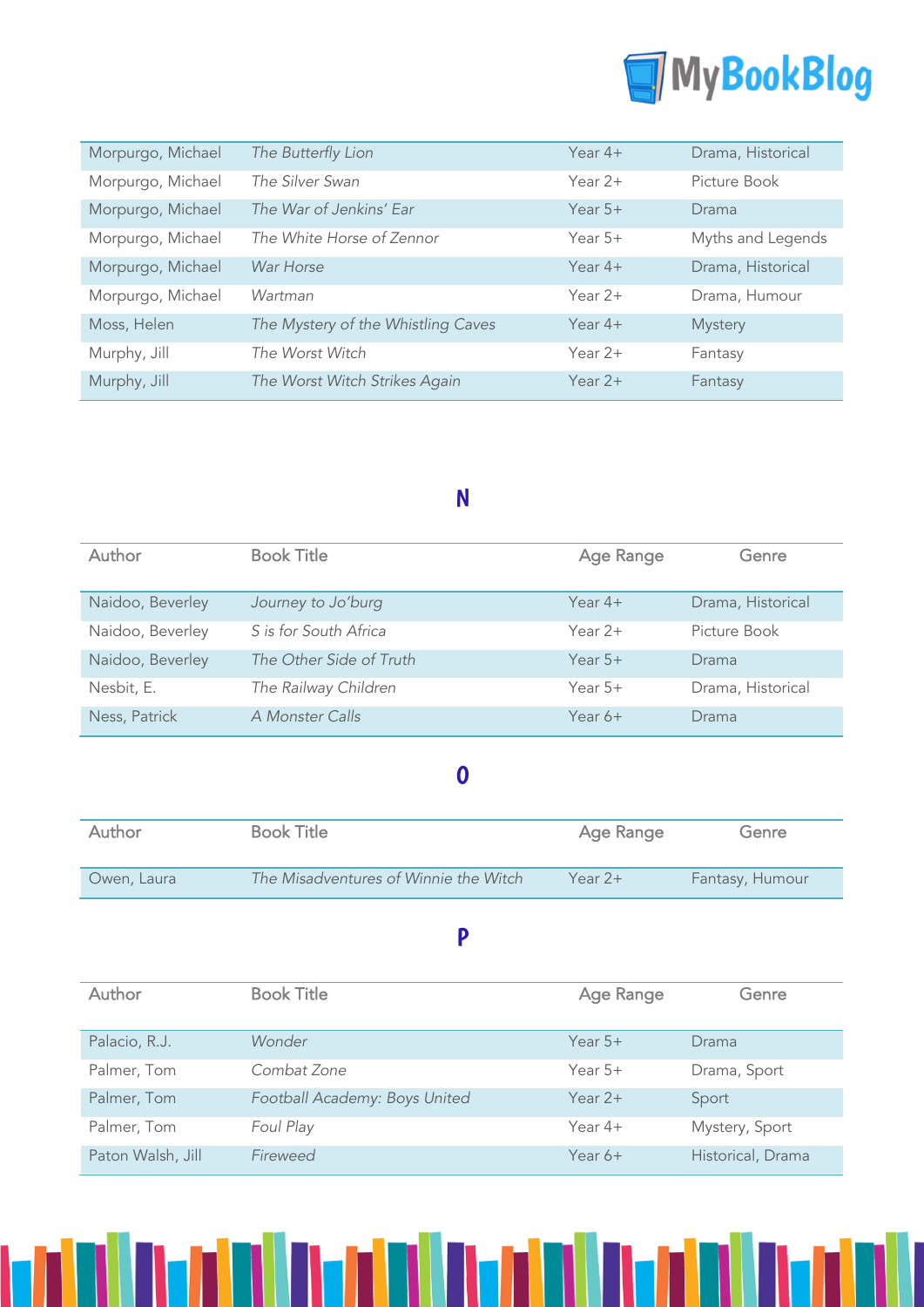

| Morpurgo, Michael | The Butterfly Lion                 | Year $4+$ | Drama, Historical |
|-------------------|------------------------------------|-----------|-------------------|
| Morpurgo, Michael | The Silver Swan                    | Year $2+$ | Picture Book      |
| Morpurgo, Michael | The War of Jenkins' Ear            | Year $5+$ | Drama             |
| Morpurgo, Michael | The White Horse of Zennor          | Year $5+$ | Myths and Legends |
| Morpurgo, Michael | War Horse                          | Year $4+$ | Drama, Historical |
| Morpurgo, Michael | Wartman                            | Year $2+$ | Drama, Humour     |
| Moss, Helen       | The Mystery of the Whistling Caves | Year $4+$ | <b>Mystery</b>    |
| Murphy, Jill      | The Worst Witch                    | Year $2+$ | Fantasy           |
| Murphy, Jill      | The Worst Witch Strikes Again      | Year $2+$ | Fantasy           |

## N

| Author           | <b>Book Title</b>       | Age Range | Genre             |
|------------------|-------------------------|-----------|-------------------|
| Naidoo, Beverley | Journey to Jo'burg      | Year $4+$ | Drama, Historical |
| Naidoo, Beverley | S is for South Africa   | Year $2+$ | Picture Book      |
| Naidoo, Beverley | The Other Side of Truth | Year $5+$ | Drama             |
| Nesbit, E.       | The Railway Children    | Year $5+$ | Drama, Historical |
| Ness, Patrick    | A Monster Calls         | Year $6+$ | Drama             |

### O

| Author      | <b>Book Title</b>                     | Age Range | Genre           |
|-------------|---------------------------------------|-----------|-----------------|
| Owen, Laura | The Misadventures of Winnie the Witch | Year $2+$ | Fantasy, Humour |

### P

| Author            | <b>Book Title</b>             | Age Range | Genre             |
|-------------------|-------------------------------|-----------|-------------------|
| Palacio, R.J.     | Wonder                        | Year $5+$ | Drama             |
| Palmer, Tom       | Combat Zone                   | Year $5+$ | Drama, Sport      |
| Palmer, Tom       | Football Academy: Boys United | Year $2+$ | Sport             |
| Palmer, Tom       | Foul Play                     | Year $4+$ | Mystery, Sport    |
| Paton Walsh, Jill | Fireweed                      | Year $6+$ | Historical, Drama |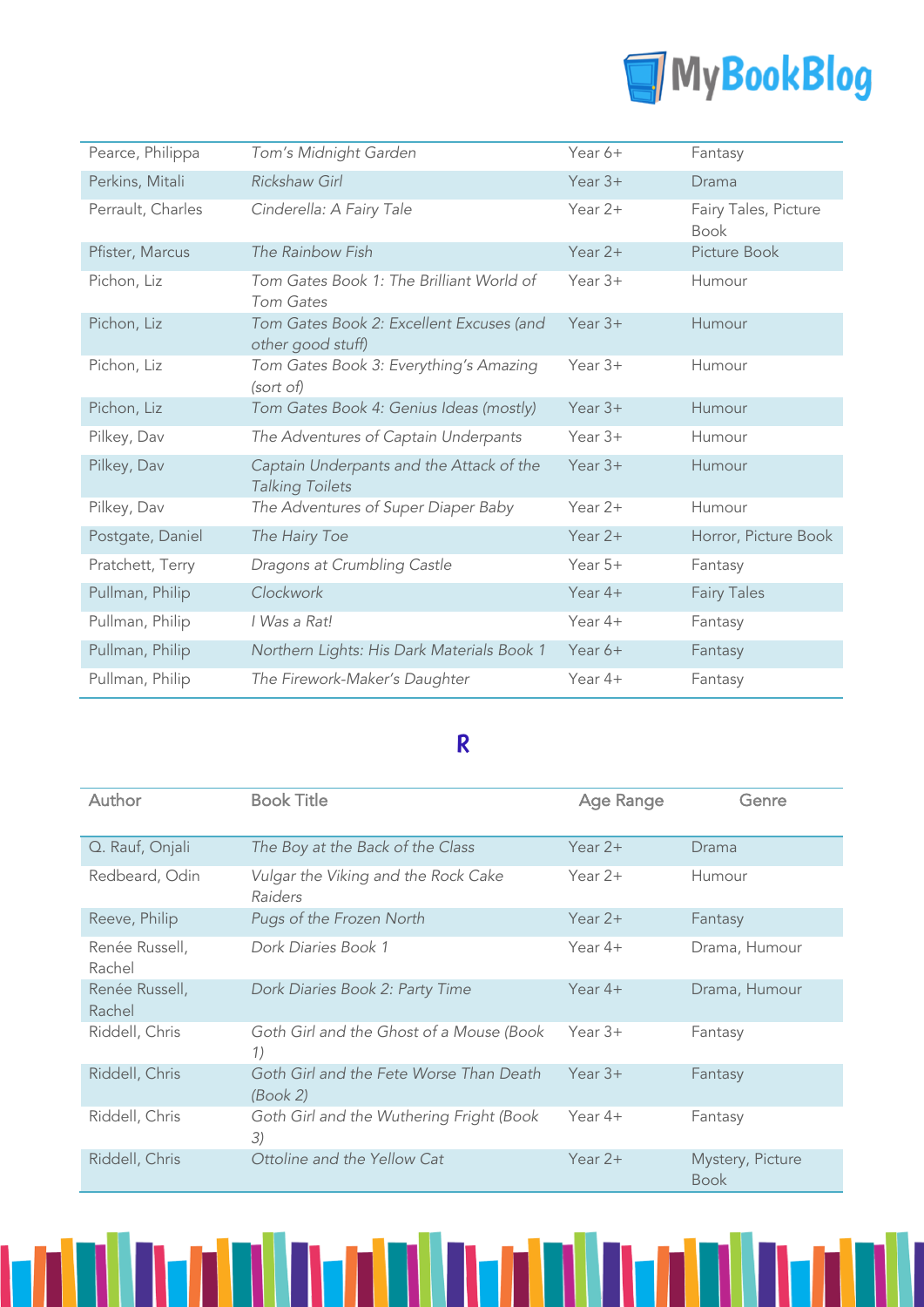

| Pearce, Philippa  | Tom's Midnight Garden                                              | Year 6+   | Fantasy                             |
|-------------------|--------------------------------------------------------------------|-----------|-------------------------------------|
| Perkins, Mitali   | <b>Rickshaw Girl</b>                                               | Year $3+$ | Drama                               |
| Perrault, Charles | Cinderella: A Fairy Tale                                           | Year $2+$ | Fairy Tales, Picture<br><b>Book</b> |
| Pfister, Marcus   | The Rainbow Fish                                                   | Year $2+$ | Picture Book                        |
| Pichon, Liz       | Tom Gates Book 1: The Brilliant World of<br>Tom Gates              | Year $3+$ | Humour                              |
| Pichon, Liz       | Tom Gates Book 2: Excellent Excuses (and<br>other good stuff)      | Year $3+$ | Humour                              |
| Pichon, Liz       | Tom Gates Book 3: Everything's Amazing<br>(sort of)                | Year $3+$ | Humour                              |
| Pichon, Liz       | Tom Gates Book 4: Genius Ideas (mostly)                            | Year $3+$ | Humour                              |
| Pilkey, Dav       | The Adventures of Captain Underpants                               | Year $3+$ | Humour                              |
| Pilkey, Dav       | Captain Underpants and the Attack of the<br><b>Talking Toilets</b> | Year $3+$ | Humour                              |
| Pilkey, Dav       | The Adventures of Super Diaper Baby                                | Year $2+$ | Humour                              |
| Postgate, Daniel  | The Hairy Toe                                                      | Year $2+$ | Horror, Picture Book                |
| Pratchett, Terry  | Dragons at Crumbling Castle                                        | Year $5+$ | Fantasy                             |
| Pullman, Philip   | Clockwork                                                          | Year $4+$ | <b>Fairy Tales</b>                  |
| Pullman, Philip   | I Was a Rat!                                                       | Year $4+$ | Fantasy                             |
| Pullman, Philip   | Northern Lights: His Dark Materials Book 1                         | Year 6+   | Fantasy                             |
| Pullman, Philip   | The Firework-Maker's Daughter                                      | Year $4+$ | Fantasy                             |

## R

| Author                   | <b>Book Title</b>                                   | <b>Age Range</b> | Genre                           |
|--------------------------|-----------------------------------------------------|------------------|---------------------------------|
| Q. Rauf, Onjali          | The Boy at the Back of the Class                    | Year $2+$        | Drama                           |
| Redbeard, Odin           | Vulgar the Viking and the Rock Cake<br>Raiders      | Year $2+$        | Humour                          |
| Reeve, Philip            | Pugs of the Frozen North                            | Year $2+$        | Fantasy                         |
| Renée Russell,<br>Rachel | Dork Diaries Book 1                                 | Year $4+$        | Drama, Humour                   |
| Renée Russell,<br>Rachel | Dork Diaries Book 2: Party Time                     | Year $4+$        | Drama, Humour                   |
| Riddell, Chris           | Goth Girl and the Ghost of a Mouse (Book<br>1)      | Year $3+$        | Fantasy                         |
| Riddell, Chris           | Goth Girl and the Fete Worse Than Death<br>(Book 2) | Year $3+$        | Fantasy                         |
| Riddell, Chris           | Goth Girl and the Wuthering Fright (Book<br>3)      | Year $4+$        | Fantasy                         |
| Riddell, Chris           | Ottoline and the Yellow Cat                         | Year $2+$        | Mystery, Picture<br><b>Book</b> |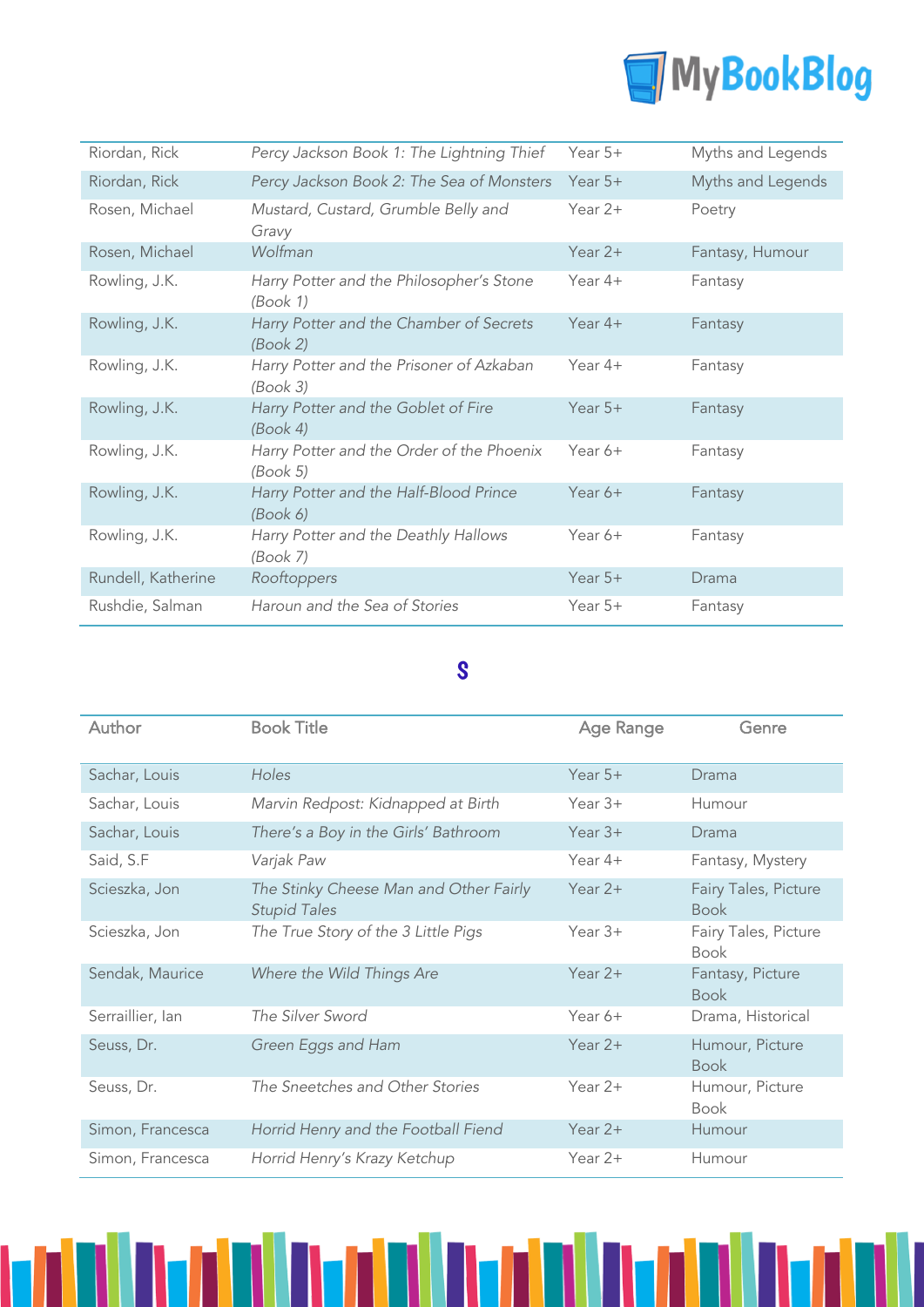

| Riordan, Rick      | Percy Jackson Book 1: The Lightning Thief             | Year $5+$ | Myths and Legends |
|--------------------|-------------------------------------------------------|-----------|-------------------|
| Riordan, Rick      | Percy Jackson Book 2: The Sea of Monsters             | Year $5+$ | Myths and Legends |
| Rosen, Michael     | Mustard, Custard, Grumble Belly and<br>Gravy          | Year $2+$ | Poetry            |
| Rosen, Michael     | Wolfman                                               | Year $2+$ | Fantasy, Humour   |
| Rowling, J.K.      | Harry Potter and the Philosopher's Stone<br>(Book 1)  | Year $4+$ | Fantasy           |
| Rowling, J.K.      | Harry Potter and the Chamber of Secrets<br>(Book 2)   | Year $4+$ | Fantasy           |
| Rowling, J.K.      | Harry Potter and the Prisoner of Azkaban<br>(Book 3)  | Year $4+$ | Fantasy           |
| Rowling, J.K.      | Harry Potter and the Goblet of Fire<br>(Book 4)       | Year $5+$ | Fantasy           |
| Rowling, J.K.      | Harry Potter and the Order of the Phoenix<br>(Book 5) | Year $6+$ | Fantasy           |
| Rowling, J.K.      | Harry Potter and the Half-Blood Prince<br>(Book 6)    | Year 6+   | Fantasy           |
| Rowling, J.K.      | Harry Potter and the Deathly Hallows<br>(Book 7)      | Year 6+   | Fantasy           |
| Rundell, Katherine | Rooftoppers                                           | Year $5+$ | Drama             |
| Rushdie, Salman    | Haroun and the Sea of Stories                         | Year $5+$ | Fantasy           |

### S

| Author           | <b>Book Title</b>                                             | Age Range | Genre                               |
|------------------|---------------------------------------------------------------|-----------|-------------------------------------|
| Sachar, Louis    | <b>Holes</b>                                                  | Year $5+$ | Drama                               |
| Sachar, Louis    | Marvin Redpost: Kidnapped at Birth                            | Year $3+$ | Humour                              |
| Sachar, Louis    | There's a Boy in the Girls' Bathroom                          | Year $3+$ | Drama                               |
| Said, S.F        | Varjak Paw                                                    | Year $4+$ | Fantasy, Mystery                    |
| Scieszka, Jon    | The Stinky Cheese Man and Other Fairly<br><b>Stupid Tales</b> | Year $2+$ | Fairy Tales, Picture<br><b>Book</b> |
| Scieszka, Jon    | The True Story of the 3 Little Pigs                           | Year $3+$ | Fairy Tales, Picture<br><b>Book</b> |
| Sendak, Maurice  | Where the Wild Things Are                                     | Year $2+$ | Fantasy, Picture<br><b>Book</b>     |
| Serraillier, Ian | The Silver Sword                                              | Year $6+$ | Drama, Historical                   |
| Seuss, Dr.       | Green Eggs and Ham                                            | Year $2+$ | Humour, Picture<br><b>Book</b>      |
| Seuss, Dr.       | The Sneetches and Other Stories                               | Year $2+$ | Humour, Picture<br><b>Book</b>      |
| Simon, Francesca | Horrid Henry and the Football Fiend                           | Year $2+$ | Humour                              |
| Simon, Francesca | Horrid Henry's Krazy Ketchup                                  | Year 2+   | Humour                              |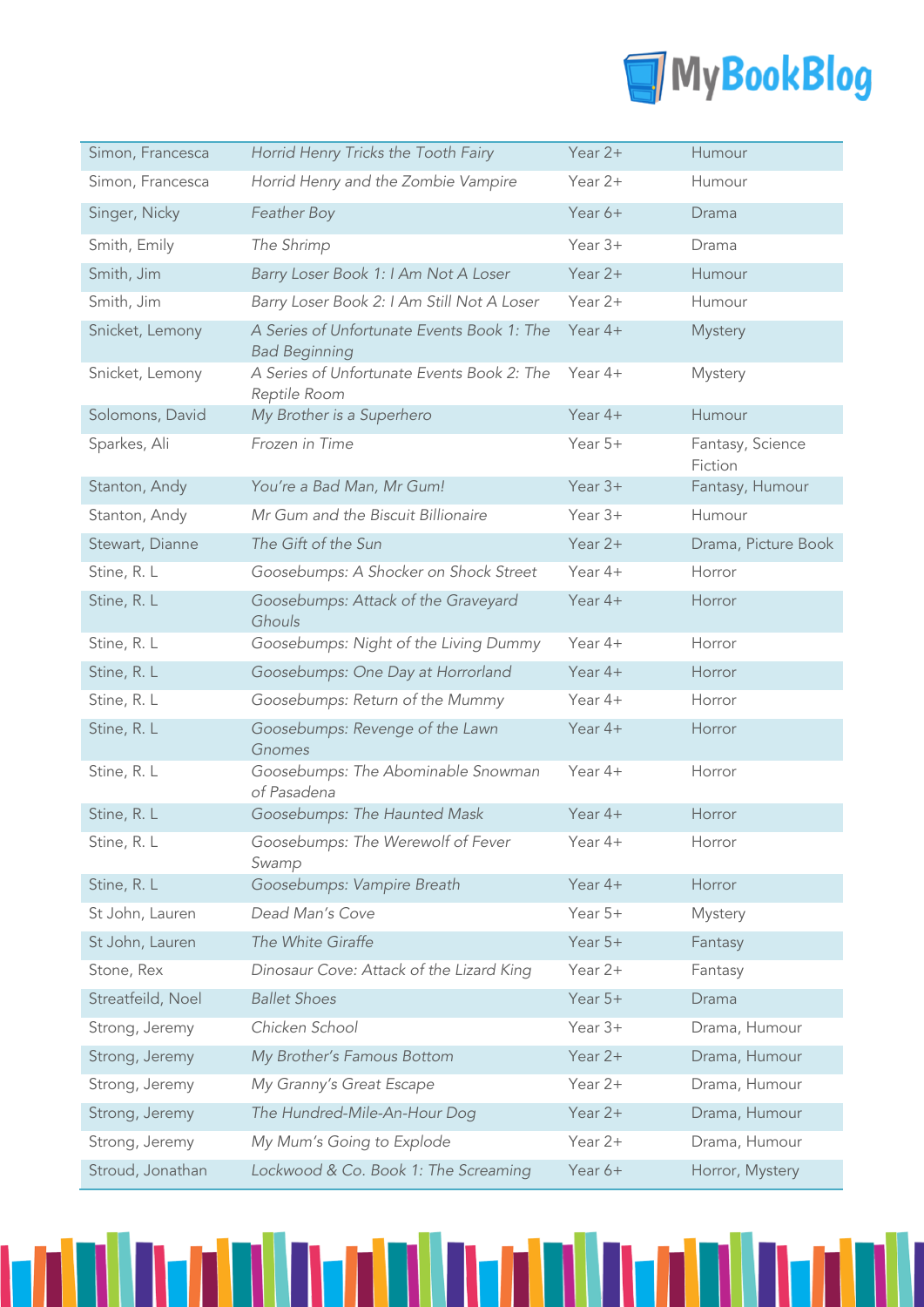

| Simon, Francesca  | Horrid Henry Tricks the Tooth Fairy                                | Year 2+   | Humour                      |
|-------------------|--------------------------------------------------------------------|-----------|-----------------------------|
| Simon, Francesca  | Horrid Henry and the Zombie Vampire                                | Year 2+   | Humour                      |
| Singer, Nicky     | Feather Boy                                                        | Year 6+   | Drama                       |
| Smith, Emily      | The Shrimp                                                         | Year 3+   | Drama                       |
| Smith, Jim        | Barry Loser Book 1: I Am Not A Loser                               | Year $2+$ | Humour                      |
| Smith, Jim        | Barry Loser Book 2: I Am Still Not A Loser                         | Year $2+$ | Humour                      |
| Snicket, Lemony   | A Series of Unfortunate Events Book 1: The<br><b>Bad Beginning</b> | Year $4+$ | Mystery                     |
| Snicket, Lemony   | A Series of Unfortunate Events Book 2: The<br>Reptile Room         | Year 4+   | Mystery                     |
| Solomons, David   | My Brother is a Superhero                                          | Year 4+   | Humour                      |
| Sparkes, Ali      | Frozen in Time                                                     | Year 5+   | Fantasy, Science<br>Fiction |
| Stanton, Andy     | You're a Bad Man, Mr Gum!                                          | Year 3+   | Fantasy, Humour             |
| Stanton, Andy     | Mr Gum and the Biscuit Billionaire                                 | Year $3+$ | Humour                      |
| Stewart, Dianne   | The Gift of the Sun                                                | Year $2+$ | Drama, Picture Book         |
| Stine, R. L       | Goosebumps: A Shocker on Shock Street                              | Year 4+   | Horror                      |
| Stine, R. L       | Goosebumps: Attack of the Graveyard<br>Ghouls                      | Year $4+$ | Horror                      |
| Stine, R. L       | Goosebumps: Night of the Living Dummy                              | Year 4+   | Horror                      |
| Stine, R. L       | Goosebumps: One Day at Horrorland                                  | Year $4+$ | Horror                      |
| Stine, R. L       | Goosebumps: Return of the Mummy                                    | Year 4+   | Horror                      |
| Stine, R. L       | Goosebumps: Revenge of the Lawn<br>Gnomes                          | Year 4+   | Horror                      |
| Stine, R. L       | Goosebumps: The Abominable Snowman<br>of Pasadena                  | Year 4+   | Horror                      |
| Stine, R. L       | Goosebumps: The Haunted Mask                                       | Year 4+   | Horror                      |
| Stine, R. L       | Goosebumps: The Werewolf of Fever<br>Swamp                         | Year 4+   | Horror                      |
| Stine, R. L       | Goosebumps: Vampire Breath                                         | Year 4+   | Horror                      |
| St John, Lauren   | Dead Man's Cove                                                    | Year 5+   | Mystery                     |
| St John, Lauren   | The White Giraffe                                                  | Year 5+   | Fantasy                     |
| Stone, Rex        | Dinosaur Cove: Attack of the Lizard King                           | Year 2+   | Fantasy                     |
| Streatfeild, Noel | <b>Ballet Shoes</b>                                                | Year 5+   | Drama                       |
| Strong, Jeremy    | Chicken School                                                     | Year 3+   | Drama, Humour               |
| Strong, Jeremy    | My Brother's Famous Bottom                                         | Year 2+   | Drama, Humour               |
| Strong, Jeremy    | My Granny's Great Escape                                           | Year 2+   | Drama, Humour               |
| Strong, Jeremy    | The Hundred-Mile-An-Hour Dog                                       | Year 2+   | Drama, Humour               |
| Strong, Jeremy    | My Mum's Going to Explode                                          | Year 2+   | Drama, Humour               |
| Stroud, Jonathan  | Lockwood & Co. Book 1: The Screaming                               | Year 6+   | Horror, Mystery             |

l IVI

I

1

ы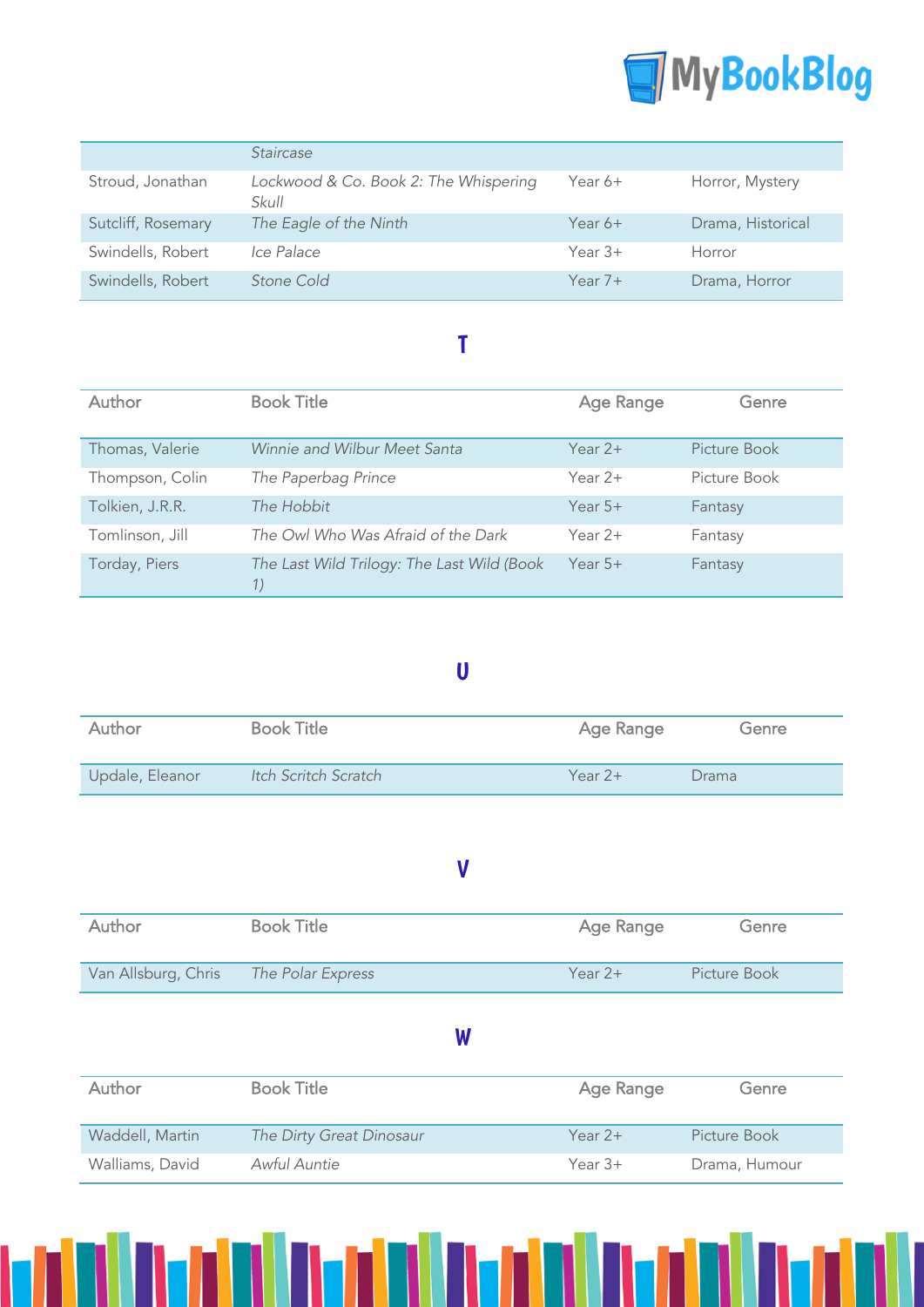

|                    | <b>Staircase</b>                               |           |                   |
|--------------------|------------------------------------------------|-----------|-------------------|
| Stroud, Jonathan   | Lockwood & Co. Book 2: The Whispering<br>Skull | Year 6+   | Horror, Mystery   |
| Sutcliff, Rosemary | The Eagle of the Ninth                         | Year $6+$ | Drama, Historical |
| Swindells, Robert  | Ice Palace                                     | Year $3+$ | Horror            |
| Swindells, Robert  | Stone Cold                                     | Year $7+$ | Drama, Horror     |

### T

| Author          | <b>Book Title</b>                                | Age Range | Genre        |
|-----------------|--------------------------------------------------|-----------|--------------|
| Thomas, Valerie | Winnie and Wilbur Meet Santa                     | Year $2+$ | Picture Book |
| Thompson, Colin | The Paperbag Prince                              | Year $2+$ | Picture Book |
| Tolkien, J.R.R. | The Hobbit                                       | Year $5+$ | Fantasy      |
| Tomlinson, Jill | The Owl Who Was Afraid of the Dark               | Year $2+$ | Fantasy      |
| Torday, Piers   | The Last Wild Trilogy: The Last Wild (Book<br>1) | Year $5+$ | Fantasy      |

#### U

| Author          | <b>Book Title</b>    | Age Range | Genre |
|-----------------|----------------------|-----------|-------|
| Updale, Eleanor | Itch Scritch Scratch | Year $2+$ | Drama |

### V

| Author              | <b>Book Title</b> | Age Range | Genre        |
|---------------------|-------------------|-----------|--------------|
| Van Allsburg, Chris | The Polar Express | Year $2+$ | Picture Book |

#### W

| <b>Author</b>   | <b>Book Title</b>        | Age Range | Genre         |
|-----------------|--------------------------|-----------|---------------|
| Waddell, Martin | The Dirty Great Dinosaur | Year $2+$ | Picture Book  |
| Walliams, David | Awful Auntie             | Year $3+$ | Drama, Humour |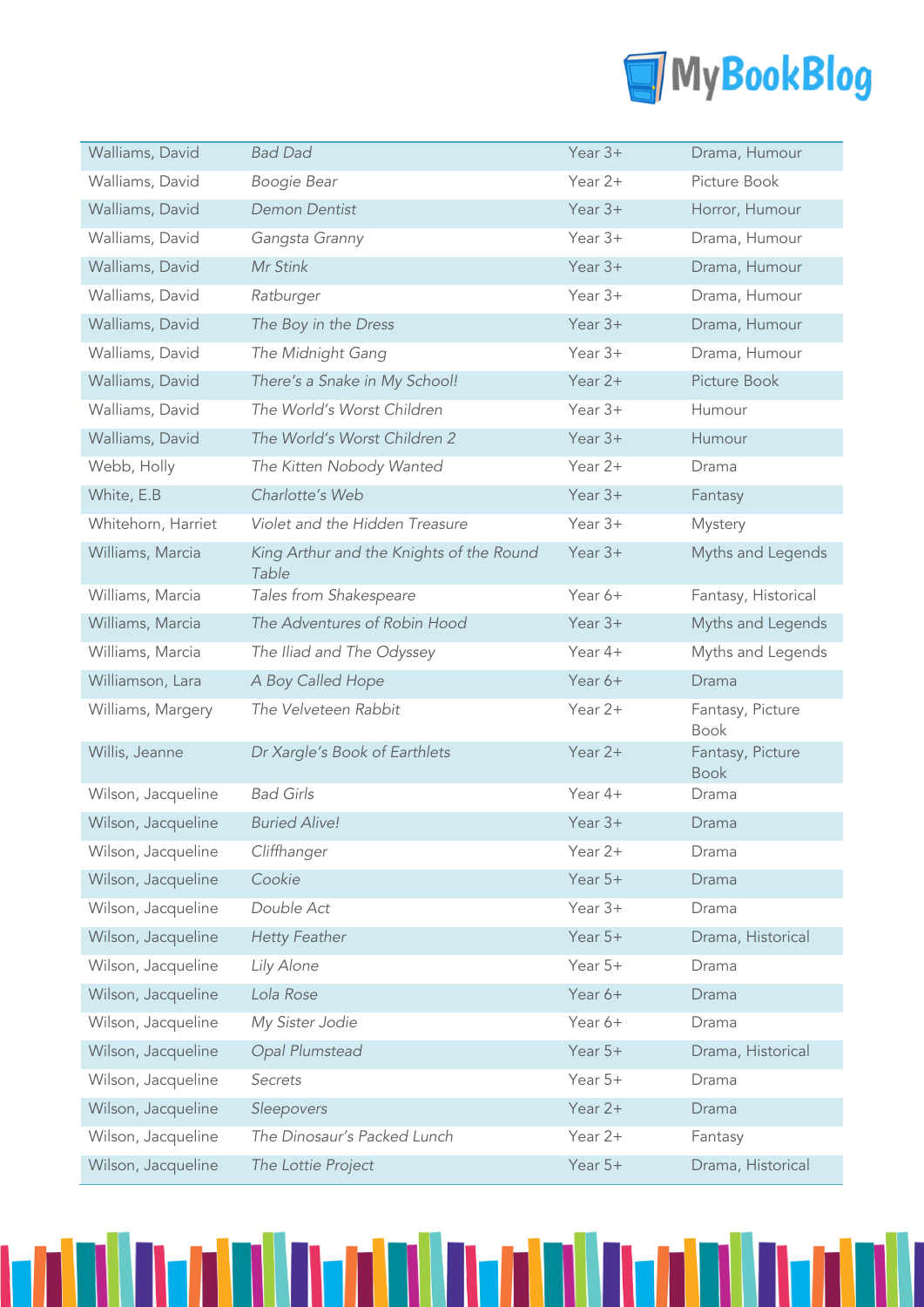

| Walliams, David    | <b>Bad Dad</b>                                    | Year $3+$ | Drama, Humour                   |
|--------------------|---------------------------------------------------|-----------|---------------------------------|
| Walliams, David    | Boogie Bear                                       | Year 2+   | Picture Book                    |
| Walliams, David    | <b>Demon Dentist</b>                              | Year $3+$ | Horror, Humour                  |
| Walliams, David    | Gangsta Granny                                    | Year $3+$ | Drama, Humour                   |
| Walliams, David    | Mr Stink                                          | Year $3+$ | Drama, Humour                   |
| Walliams, David    | Ratburger                                         | Year $3+$ | Drama, Humour                   |
| Walliams, David    | The Boy in the Dress                              | Year $3+$ | Drama, Humour                   |
| Walliams, David    | The Midnight Gang                                 | Year 3+   | Drama, Humour                   |
| Walliams, David    | There's a Snake in My School!                     | Year 2+   | Picture Book                    |
| Walliams, David    | The World's Worst Children                        | Year 3+   | Humour                          |
| Walliams, David    | The World's Worst Children 2                      | Year $3+$ | Humour                          |
| Webb, Holly        | The Kitten Nobody Wanted                          | Year 2+   | Drama                           |
| White, E.B         | Charlotte's Web                                   | Year $3+$ | Fantasy                         |
| Whitehorn, Harriet | Violet and the Hidden Treasure                    | Year 3+   | Mystery                         |
| Williams, Marcia   | King Arthur and the Knights of the Round<br>Table | Year $3+$ | Myths and Legends               |
| Williams, Marcia   | Tales from Shakespeare                            | Year 6+   | Fantasy, Historical             |
| Williams, Marcia   | The Adventures of Robin Hood                      | Year $3+$ | Myths and Legends               |
| Williams, Marcia   | The Iliad and The Odyssey                         | Year 4+   | Myths and Legends               |
| Williamson, Lara   | A Boy Called Hope                                 | Year 6+   | Drama                           |
|                    |                                                   |           |                                 |
| Williams, Margery  | The Velveteen Rabbit                              | Year 2+   | Fantasy, Picture<br><b>Book</b> |
| Willis, Jeanne     | Dr Xargle's Book of Earthlets                     | Year 2+   | Fantasy, Picture<br><b>Book</b> |
| Wilson, Jacqueline | <b>Bad Girls</b>                                  | Year 4+   | Drama                           |
| Wilson, Jacqueline | <b>Buried Alive!</b>                              | Year $3+$ | Drama                           |
| Wilson, Jacqueline | Cliffhanger                                       | Year 2+   | Drama                           |
| Wilson, Jacqueline | Cookie                                            | Year 5+   | Drama                           |
| Wilson, Jacqueline | Double Act                                        | Year 3+   | Drama                           |
| Wilson, Jacqueline | <b>Hetty Feather</b>                              | Year $5+$ | Drama, Historical               |
| Wilson, Jacqueline | Lily Alone                                        | Year 5+   | Drama                           |
| Wilson, Jacqueline | Lola Rose                                         | Year 6+   | Drama                           |
| Wilson, Jacqueline | My Sister Jodie                                   | Year 6+   | Drama                           |
| Wilson, Jacqueline | Opal Plumstead                                    | Year 5+   | Drama, Historical               |
| Wilson, Jacqueline | Secrets                                           | Year 5+   | Drama                           |
| Wilson, Jacqueline | Sleepovers                                        | Year 2+   | Drama                           |
| Wilson, Jacqueline | The Dinosaur's Packed Lunch                       | Year 2+   | Fantasy                         |

M

N

n nan n

1